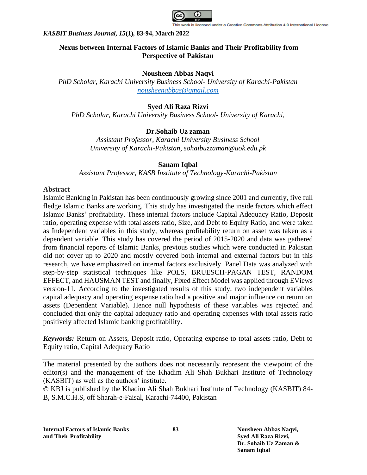

# **Nexus between Internal Factors of Islamic Banks and Their Profitability from Perspective of Pakistan**

### **Nousheen Abbas Naqvi**

*PhD Scholar, Karachi University Business School- University of Karachi-Pakistan [nousheenabbas@gmail.com](mailto:nousheenabbas@gmail.com)*

# **Syed Ali Raza Rizvi**

*PhD Scholar, Karachi University Business School- University of Karachi,* 

# **Dr.Sohaib Uz zaman**

*Assistant Professor, Karachi University Business School University of Karachi-Pakistan, [sohaibuzzaman@uok.edu.pk](mailto:sohaibuzzaman@uok.edu.pk)*

# **Sanam Iqbal**

*Assistant Professor, KASB Institute of Technology-Karachi-Pakistan*

# **Abstract**

Islamic Banking in Pakistan has been continuously growing since 2001 and currently, five full fledge Islamic Banks are working. This study has investigated the inside factors which effect Islamic Banks' profitability. These internal factors include Capital Adequacy Ratio, Deposit ratio, operating expense with total assets ratio, Size, and Debt to Equity Ratio, and were taken as Independent variables in this study, whereas profitability return on asset was taken as a dependent variable. This study has covered the period of 2015-2020 and data was gathered from financial reports of Islamic Banks, previous studies which were conducted in Pakistan did not cover up to 2020 and mostly covered both internal and external factors but in this research, we have emphasized on internal factors exclusively. Panel Data was analyzed with step-by-step statistical techniques like POLS, BRUESCH-PAGAN TEST, RANDOM EFFECT, and HAUSMAN TEST and finally, Fixed Effect Model was applied through EViews version-11. According to the investigated results of this study, two independent variables capital adequacy and operating expense ratio had a positive and major influence on return on assets (Dependent Variable). Hence null hypothesis of these variables was rejected and concluded that only the capital adequacy ratio and operating expenses with total assets ratio positively affected Islamic banking profitability.

*Keywords:* Return on Assets, Deposit ratio, Operating expense to total assets ratio, Debt to Equity ratio, Capital Adequacy Ratio

The material presented by the authors does not necessarily represent the viewpoint of the editor(s) and the management of the Khadim Ali Shah Bukhari Institute of Technology (KASBIT) as well as the authors' institute.

© KBJ is published by the Khadim Ali Shah Bukhari Institute of Technology (KASBIT) 84- B, S.M.C.H.S, off Sharah-e-Faisal, Karachi-74400, Pakistan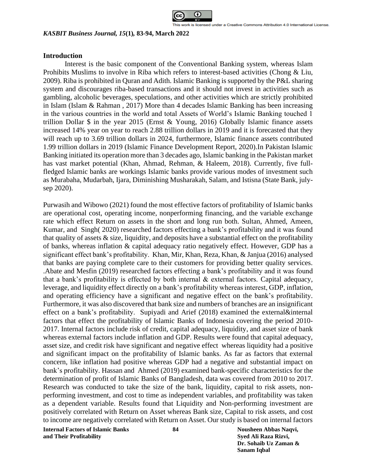

### **Introduction**

Interest is the basic component of the Conventional Banking system, whereas Islam Prohibits Muslims to involve in Riba which refers to interest-based activities (Chong & Liu, 2009). Riba is prohibited in Quran and Adith. Islamic Banking is supported by the P&L sharing system and discourages riba-based transactions and it should not invest in activities such as gambling, alcoholic beverages, speculations, and other activities which are strictly prohibited in Islam (Islam & Rahman , 2017) More than 4 decades Islamic Banking has been increasing in the various countries in the world and total Assets of World's Islamic Banking touched 1 trillion Dollar \$ in the year 2015 (Ernst & Young, 2016) Globally Islamic finance assets increased 14% year on year to reach 2.88 trillion dollars in 2019 and it is forecasted that they will reach up to 3.69 trillion dollars in 2024, furthermore, Islamic finance assets contributed 1.99 trillion dollars in 2019 (Islamic Finance Development Report, 2020).In Pakistan Islamic Banking initiated its operation more than 3 decades ago, Islamic banking in the Pakistan market has vast market potential (Khan, Ahmad, Rehman, & Haleem, 2018). Currently, five fullfledged Islamic banks are workings Islamic banks provide various modes of investment such as Murabaha, Mudarbah, Ijara, Diminishing Musharakah, Salam, and Istisna (State Bank, julysep 2020).

Purwasih and Wibowo (2021) found the most effective factors of profitability of Islamic banks are operational cost, operating income, nonperforming financing, and the variable exchange rate which effect Return on assets in the short and long run both. Sultan, Ahmed, Ameen, Kumar, and Singh( 2020) researched factors effecting a bank's profitability and it was found that quality of assets  $\&$  size, liquidity, and deposits have a substantial effect on the profitability of banks, whereas inflation & capital adequacy ratio negatively effect. However, GDP has a significant effect bank's profitability. Khan, Mir, Khan, Reza, Khan, & Janjua (2016) analysed that banks are paying complete care to their customers for providing better quality services. .Abate and Mesfin (2019) researched factors effecting a bank's profitability and it was found that a bank's profitability is effected by both internal & external factors. Capital adequacy, leverage, and liquidity effect directly on a bank's profitability whereas interest, GDP, inflation, and operating efficiency have a significant and negative effect on the bank's profitability. Furthermore, it was also discovered that bank size and numbers of branches are an insignificant effect on a bank's profitability. Supiyadi and Arief (2018) examined the external&internal factors that effect the profitability of Islamic Banks of Indonesia covering the period 2010- 2017. Internal factors include risk of credit, capital adequacy, liquidity, and asset size of bank whereas external factors include inflation and GDP. Results were found that capital adequacy, asset size, and credit risk have significant and negative effect whereas liquidity had a positive and significant impact on the profitability of Islamic banks. As far as factors that external concern, like inflation had positive whereas GDP had a negative and substantial impact on bank's profitability. Hassan and Ahmed (2019) examined bank-specific characteristics for the determination of profit of Islamic Banks of Bangladesh, data was covered from 2010 to 2017. Research was conducted to take the size of the bank, liquidity, capital to risk assets, nonperforming investment, and cost to time as independent variables, and profitability was taken as a dependent variable. Results found that Liquidity and Non-performing investment are positively correlated with Return on Asset whereas Bank size, Capital to risk assets, and cost to income are negatively correlated with Return on Asset. Our study is based on internal factors

**Internal Factors of Islamic Banks 84 Nousheen Abbas Naqvi, and Their Profitability Syed Ali Raza Rizvi,**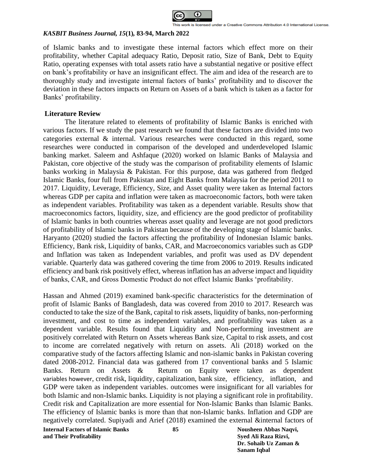

of Islamic banks and to investigate these internal factors which effect more on their profitability, whether Capital adequacy Ratio, Deposit ratio, Size of Bank, Debt to Equity Ratio, operating expenses with total assets ratio have a substantial negative or positive effect on bank's profitability or have an insignificant effect. The aim and idea of the research are to thoroughly study and investigate internal factors of banks' profitability and to discover the deviation in these factors impacts on Return on Assets of a bank which is taken as a factor for Banks' profitability.

# **Literature Review**

The literature related to elements of profitability of Islamic Banks is enriched with various factors. If we study the past research we found that these factors are divided into two categories external & internal. Various researches were conducted in this regard, some researches were conducted in comparison of the developed and underdeveloped Islamic banking market. Saleem and Ashfaque (2020) worked on Islamic Banks of Malaysia and Pakistan, core objective of the study was the comparison of profitability elements of Islamic banks working in Malaysia & Pakistan. For this purpose, data was gathered from fledged Islamic Banks, four full from Pakistan and Eight Banks from Malaysia for the period 2011 to 2017. Liquidity, Leverage, Efficiency, Size, and Asset quality were taken as Internal factors whereas GDP per capita and inflation were taken as macroeconomic factors, both were taken as independent variables. Profitability was taken as a dependent variable. Results show that macroeconomics factors, liquidity, size, and efficiency are the good predictor of profitability of Islamic banks in both countries whereas asset quality and leverage are not good predictors of profitability of Islamic banks in Pakistan because of the developing stage of Islamic banks. Haryanto (2020) studied the factors affecting the profitability of Indonesian Islamic banks. Efficiency, Bank risk, Liquidity of banks, CAR, and Macroeconomics variables such as GDP and Inflation was taken as Independent variables, and profit was used as DV dependent variable. Quarterly data was gathered covering the time from 2006 to 2019. Results indicated efficiency and bank risk positively effect, whereas inflation has an adverse impact and liquidity of banks, CAR, and Gross Domestic Product do not effect Islamic Banks 'profitability.

Hassan and Ahmed (2019) examined bank-specific characteristics for the determination of profit of Islamic Banks of Bangladesh, data was covered from 2010 to 2017. Research was conducted to take the size of the Bank, capital to risk assets, liquidity of banks, non-performing investment, and cost to time as independent variables, and profitability was taken as a dependent variable. Results found that Liquidity and Non-performing investment are positively correlated with Return on Assets whereas Bank size, Capital to risk assets, and cost to income are correlated negatively with return on assets. Ali (2018) worked on the comparative study of the factors affecting Islamic and non-islamic banks in Pakistan covering dated 2008-2012. Financial data was gathered from 17 conventional banks and 5 Islamic Banks. Return on Assets & Return on Equity were taken as dependent variables however, credit risk, liquidity, capitalization, bank size, efficiency, inflation, and GDP were taken as independent variables. outcomes were insignificant for all variables for both Islamic and non-Islamic banks. Liquidity is not playing a significant role in profitability. Credit risk and Capitalization are more essential for Non-Islamic Banks than Islamic Banks. The efficiency of Islamic banks is more than that non-Islamic banks. Inflation and GDP are negatively correlated. Supiyadi and Arief (2018) examined the external &internal factors of

**Internal Factors of Islamic Banks 85 Nousheen Abbas Naqvi, and Their Profitability Syed Ali Raza Rizvi,**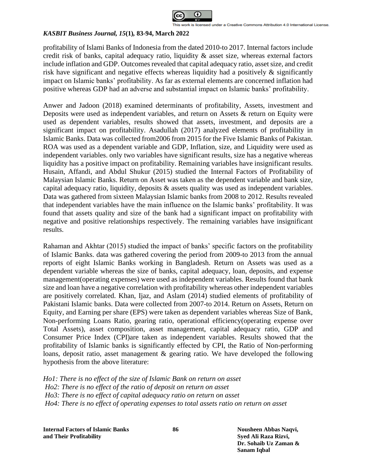

profitability of Islami Banks of Indonesia from the dated 2010-to 2017. Internal factors include credit risk of banks, capital adequacy ratio, liquidity & asset size, whereas external factors include inflation and GDP. Outcomes revealed that capital adequacy ratio, asset size, and credit risk have significant and negative effects whereas liquidity had a positively & significantly impact on Islamic banks' profitability. As far as external elements are concerned inflation had positive whereas GDP had an adverse and substantial impact on Islamic banks' profitability.

Anwer and Jadoon (2018) examined determinants of profitability, Assets, investment and Deposits were used as independent variables, and return on Assets & return on Equity were used as dependent variables, results showed that assets, investment, and deposits are a significant impact on profitability. Asadullah (2017) analyzed elements of profitability in Islamic Banks. Data was collected from2006 from 2015 for the Five Islamic Banks of Pakistan. ROA was used as a dependent variable and GDP, Inflation, size, and Liquidity were used as independent variables. only two variables have significant results, size has a negative whereas liquidity has a positive impact on profitability. Remaining variables have insignificant results. Husain, Affandi, and Abdul Shukur (2015) studied the Internal Factors of Profitability of Malaysian Islamic Banks. Return on Asset was taken as the dependent variable and bank size, capital adequacy ratio, liquidity, deposits & assets quality was used as independent variables. Data was gathered from sixteen Malaysian Islamic banks from 2008 to 2012. Results revealed that independent variables have the main influence on the Islamic banks' profitability. It was found that assets quality and size of the bank had a significant impact on profitability with negative and positive relationships respectively. The remaining variables have insignificant results.

Rahaman and Akhtar (2015) studied the impact of banks' specific factors on the profitability of Islamic Banks. data was gathered covering the period from 2009-to 2013 from the annual reports of eight Islamic Banks working in Bangladesh. Return on Assets was used as a dependent variable whereas the size of banks, capital adequacy, loan, deposits, and expense management(operating expenses) were used as independent variables. Results found that bank size and loan have a negative correlation with profitability whereas other independent variables are positively correlated. Khan, Ijaz, and Aslam (2014) studied elements of profitability of Pakistani Islamic banks. Data were collected from 2007-to 2014. Return on Assets, Return on Equity, and Earning per share (EPS) were taken as dependent variables whereas Size of Bank, Non-performing Loans Ratio, gearing ratio, operational efficiency(operating expense over Total Assets), asset composition, asset management, capital adequacy ratio, GDP and Consumer Price Index (CPI)are taken as independent variables. Results showed that the profitability of Islamic banks is significantly effected by CPI, the Ratio of Non-performing loans, deposit ratio, asset management & gearing ratio. We have developed the following hypothesis from the above literature:

*Ho1: There is no effect of the size of Islamic Bank on return on asset Ho2: There is no effect of the ratio of deposit on return on asset Ho3: There is no effect of capital adequacy ratio on return on asset Ho4: There is no effect of operating expenses to total assets ratio on return on asset*

**Internal Factors of Islamic Banks 86 Nousheen Abbas Naqvi, and Their Profitability Syed Ali Raza Rizvi,**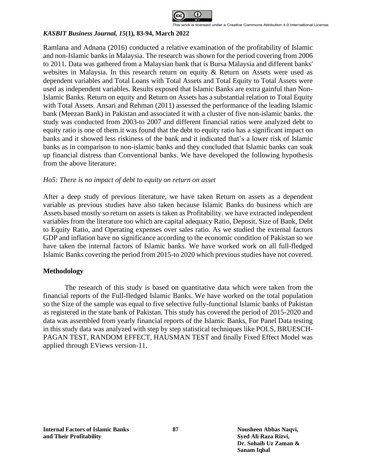

Ramlana and Adnana (2016) conducted a relative examination of the profitability of Islamic and non-Islamic banks in Malaysia. The research was shown for the period covering from 2006 to 2011. Data was gathered from a Malaysian bank that is Bursa Malaysia and different banks' websites in Malaysia. In this research return on equity & Return on Assets were used as dependent variables and Total Loans with Total Assets and Total Equity to Total Assets were used as independent variables. Results exposed that Islamic Banks are extra gainful than Non-Islamic Banks. Return on equity and Return on Assets has a substantial relation to Total Equity with Total Assets. Ansari and Rehman (2011) assessed the performance of the leading Islamic bank (Meezan Bank) in Pakistan and associated it with a cluster of five non-islamic banks. the study was conducted from 2003-to 2007 and different financial ratios were analyzed debt to equity ratio is one of them.it was found that the debt to equity ratio has a significant impact on banks and it showed less riskiness of the bank and it indicated that's a lower risk of Islamic banks as in comparison to non-islamic banks and they concluded that Islamic banks can soak up financial distress than Conventional banks. We have developed the following hypothesis from the above literature:

# *Ho5: There is no impact of debt to equity on return on asset*

After a deep study of previous literature, we have taken Return on assets as a dependent variable as previous studies have also taken because Islamic Banks do business which are Assets based mostly so return on assets is taken as Profitability. we have extracted independent variables from the literature too which are capital adequacy Ratio, Deposit, Size of Bank, Debt to Equity Ratio, and Operating expenses over sales ratio. As we studied the external factors GDP and inflation have no significance according to the economic condition of Pakistan so we have taken the internal factors of Islamic banks. We have worked work on all full-fledged Islamic Banks covering the period from 2015-to 2020 which previous studies have not covered.

## **Methodology**

The research of this study is based on quantitative data which were taken from the financial reports of the Full-fledged Islamic Banks. We have worked on the total population so the Size of the sample was equal to five selective fully-functional Islamic banks of Pakistan as registered in the state bank of Pakistan. This study has covered the period of 2015-2020 and data was assembled from yearly financial reports of the Islamic Banks, For Panel Data testing in this study data was analyzed with step by step statistical techniques like POLS, BRUESCH-PAGAN TEST, RANDOM EFFECT, HAUSMAN TEST and finally Fixed Effect Model was applied through EViews version-11.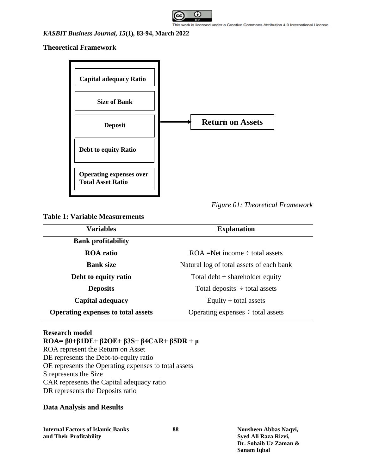

#### vork is licensed under a Creative Commons Attribution 4.0 International License.

### *KASBIT Business Journal, 15***(1)***,* **83-94, March 2022**

**Theoretical Framework**



**Table 1: Variable Measurements**

| <b>Variables</b>                          | <b>Explanation</b>                       |  |  |
|-------------------------------------------|------------------------------------------|--|--|
| <b>Bank profitability</b>                 |                                          |  |  |
| <b>ROA</b> ratio                          | $ROA = Net income \div total assets$     |  |  |
| <b>Bank size</b>                          | Natural log of total assets of each bank |  |  |
| Debt to equity ratio                      | Total debt $\div$ shareholder equity     |  |  |
| <b>Deposits</b>                           | Total deposits $\div$ total assets       |  |  |
| <b>Capital adequacy</b>                   | Equity $\div$ total assets               |  |  |
| <b>Operating expenses to total assets</b> | Operating expenses $\div$ total assets   |  |  |

# **Research model**

# **ROA= β0+β1DE+ β2OE+ β3S+ β4CAR+ β5DR + μ**

ROA represent the Return on Asset DE represents the Debt-to-equity ratio OE represents the Operating expenses to total assets S represents the Size CAR represents the Capital adequacy ratio DR represents the Deposits ratio

# **Data Analysis and Results**

**Internal Factors of Islamic Banks 88 Nousheen Abbas Naqvi, and Their Profitability Syed Ali Raza Rizvi,**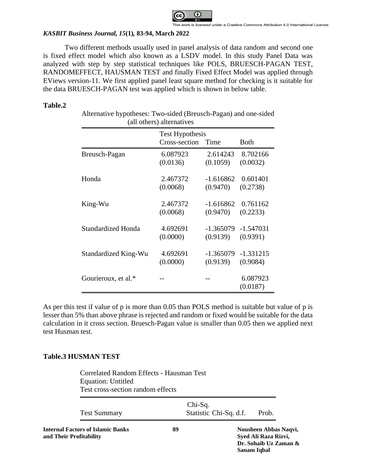

Two different methods usually used in panel analysis of data random and second one is fixed effect model which also known as a LSDV model. In this study Panel Data was analyzed with step by step statistical techniques like POLS, BRUESCH-PAGAN TEST, RANDOMEFFECT, HAUSMAN TEST and finally Fixed Effect Model was applied through EViews version-11. We first applied panel least square method for checking is it suitable for the data BRUESCH-PAGAN test was applied which is shown in below table.

# **Table.2**

| Alternative hypotheses: Two-sided (Breusch-Pagan) and one-sided |
|-----------------------------------------------------------------|
| (all others) alternatives                                       |

|                      | <b>Test Hypothesis</b> |             |             |
|----------------------|------------------------|-------------|-------------|
|                      | Cross-section          | Time        | Both        |
| Breusch-Pagan        | 6.087923               | 2.614243    | 8.702166    |
|                      | (0.0136)               | (0.1059)    | (0.0032)    |
| Honda                | 2.467372               | $-1.616862$ | 0.601401    |
|                      | (0.0068)               | (0.9470)    | (0.2738)    |
| King-Wu              | 2.467372               | $-1.616862$ | 0.761162    |
|                      | (0.0068)               | (0.9470)    | (0.2233)    |
| Standardized Honda   | 4.692691               | $-1.365079$ | $-1.547031$ |
|                      | (0.0000)               | (0.9139)    | (0.9391)    |
| Standardized King-Wu | 4.692691               | $-1.365079$ | $-1.331215$ |
|                      | (0.0000)               | (0.9139)    | (0.9084)    |
| Gourieroux, et al.*  |                        |             | 6.087923    |
|                      |                        |             | (0.0187)    |

As per this test if value of p is more than 0.05 than POLS method is suitable but value of p is lesser than 5% than above phrase is rejected and random or fixed would be suitable for the data calculation in it cross section. Bruesch-Pagan value is smaller than 0.05 then we applied next test Husman test.

# **Table.3 HUSMAN TEST**

Correlated Random Effects - Hausman Test Equation: Untitled Test cross-section random effects

| <b>Test Summary</b>                                          | Chi-Sq. | Statistic Chi-Sq. d.f.                                                                | Prob. |  |
|--------------------------------------------------------------|---------|---------------------------------------------------------------------------------------|-------|--|
| Internal Factors of Islamic Banks<br>and Their Profitability | 89      | Nousheen Abbas Naqvi,<br>Syed Ali Raza Rizvi,<br>Dr. Sohaib Uz Zaman &<br>Sanam Iqbal |       |  |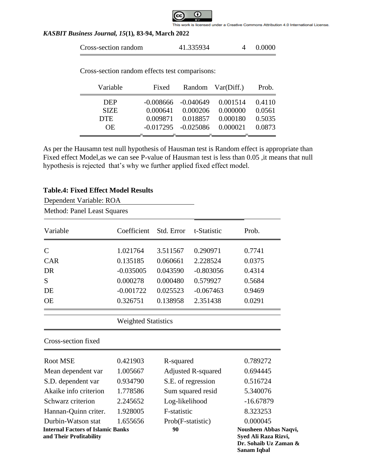

| Cross-section random | 41.335934 |  | 0.0000 |
|----------------------|-----------|--|--------|
|----------------------|-----------|--|--------|

Cross-section random effects test comparisons:

| Variable    | Fixed    |                                 | Random Var(Diff.) | Prob.  |
|-------------|----------|---------------------------------|-------------------|--------|
| <b>DEP</b>  |          | $-0.008666 - 0.040649$ 0.001514 |                   | 0.4110 |
| <b>SIZE</b> |          | 0.000641 0.000206               | 0.000000          | 0.0561 |
| <b>DTE</b>  | 0.009871 |                                 | 0.018857 0.000180 | 0.5035 |
| OE.         |          | $-0.017295$ $-0.025086$         | 0.000021          | 0.0873 |
|             |          |                                 |                   |        |

As per the Hausamn test null hypothesis of Hausman test is Random effect is appropriate than Fixed effect Model, as we can see P-value of Hausman test is less than 0.05, it means that null hypothesis is rejected that's why we further applied fixed effect model.

# **Table.4: Fixed Effect Model Results**

| Dependent Variable: ROA                                             |                            |                           |             |                                                                                       |
|---------------------------------------------------------------------|----------------------------|---------------------------|-------------|---------------------------------------------------------------------------------------|
| <b>Method: Panel Least Squares</b>                                  |                            |                           |             |                                                                                       |
| Variable                                                            | Coefficient                | Std. Error                | t-Statistic | Prob.                                                                                 |
| $\mathsf{C}$                                                        | 1.021764                   | 3.511567                  | 0.290971    | 0.7741                                                                                |
| <b>CAR</b>                                                          | 0.135185                   | 0.060661                  | 2.228524    | 0.0375                                                                                |
| <b>DR</b>                                                           | $-0.035005$                | 0.043590                  | $-0.803056$ | 0.4314                                                                                |
| S                                                                   | 0.000278                   | 0.000480                  | 0.579927    | 0.5684                                                                                |
| DE                                                                  | $-0.001722$                | 0.025523                  | $-0.067463$ | 0.9469                                                                                |
| <b>OE</b>                                                           | 0.326751                   | 0.138958                  | 2.351438    | 0.0291                                                                                |
|                                                                     | <b>Weighted Statistics</b> |                           |             |                                                                                       |
| Cross-section fixed                                                 |                            |                           |             |                                                                                       |
| <b>Root MSE</b>                                                     | 0.421903                   | R-squared                 |             | 0.789272                                                                              |
| Mean dependent var                                                  | 1.005667                   | <b>Adjusted R-squared</b> |             | 0.694445                                                                              |
| S.D. dependent var                                                  | 0.934790                   | S.E. of regression        |             | 0.516724                                                                              |
| Akaike info criterion                                               | 1.778586                   | Sum squared resid         |             | 5.340076                                                                              |
| Schwarz criterion                                                   | 2.245652                   | Log-likelihood            |             | $-16.67879$                                                                           |
| Hannan-Quinn criter.                                                | 1.928005                   | F-statistic               |             | 8.323253                                                                              |
| Durbin-Watson stat                                                  | 1.655656                   | Prob(F-statistic)         |             | 0.000045                                                                              |
| <b>Internal Factors of Islamic Banks</b><br>and Their Profitability |                            | 90                        |             | Nousheen Abbas Naqvi,<br>Syed Ali Raza Rizvi,<br>Dr. Sohaib Uz Zaman &<br>Sanam Iqbal |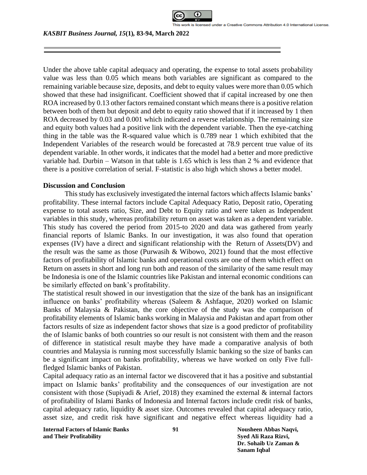

Under the above table capital adequacy and operating, the expense to total assets probability value was less than 0.05 which means both variables are significant as compared to the remaining variable because size, deposits, and debt to equity values were more than 0.05 which showed that these had insignificant. Coefficient showed that if capital increased by one then ROA increased by 0.13 other factors remained constant which means there is a positive relation between both of them but deposit and debt to equity ratio showed that if it increased by 1 then ROA decreased by 0.03 and 0.001 which indicated a reverse relationship. The remaining size and equity both values had a positive link with the dependent variable. Then the eye-catching thing in the table was the R-squared value which is 0.789 near 1 which exhibited that the Independent Variables of the research would be forecasted at 78.9 percent true value of its dependent variable. In other words, it indicates that the model had a better and more predictive variable had. Durbin – Watson in that table is 1.65 which is less than 2 % and evidence that there is a positive correlation of serial. F-statistic is also high which shows a better model.

### **Discussion and Conclusion**

This study has exclusively investigated the internal factors which affects Islamic banks' profitability. These internal factors include Capital Adequacy Ratio, Deposit ratio, Operating expense to total assets ratio, Size, and Debt to Equity ratio and were taken as Independent variables in this study, whereas profitability return on asset was taken as a dependent variable. This study has covered the period from 2015-to 2020 and data was gathered from yearly financial reports of Islamic Banks. In our investigation, it was also found that operation expenses (IV) have a direct and significant relationship with the Return of Assets(DV) and the result was the same as those (Purwasih & Wibowo, 2021) found that the most effective factors of profitability of Islamic banks and operational costs are one of them which effect on Return on assets in short and long run both and reason of the similarity of the same result may be Indonesia is one of the Islamic countries like Pakistan and internal economic conditions can be similarly effected on bank's profitability.

The statistical result showed in our investigation that the size of the bank has an insignificant influence on banks' profitability whereas (Saleem & Ashfaque, 2020) worked on Islamic Banks of Malaysia & Pakistan, the core objective of the study was the comparison of profitability elements of Islamic banks working in Malaysia and Pakistan and apart from other factors results of size as independent factor shows that size is a good predictor of profitability the of Islamic banks of both countries so our result is not consistent with them and the reason of difference in statistical result maybe they have made a comparative analysis of both countries and Malaysia is running most successfully Islamic banking so the size of banks can be a significant impact on banks profitability, whereas we have worked on only Five fullfledged Islamic banks of Pakistan.

Capital adequacy ratio as an internal factor we discovered that it has a positive and substantial impact on Islamic banks' profitability and the consequences of our investigation are not consistent with those (Supiyadi & Arief, 2018) they examined the external  $\&$  internal factors of profitability of Islami Banks of Indonesia and Internal factors include credit risk of banks, capital adequacy ratio, liquidity & asset size. Outcomes revealed that capital adequacy ratio, asset size, and credit risk have significant and negative effect whereas liquidity had a

**Internal Factors of Islamic Banks 91 Nousheen Abbas Naqvi, and Their Profitability Syed Ali Raza Rizvi,**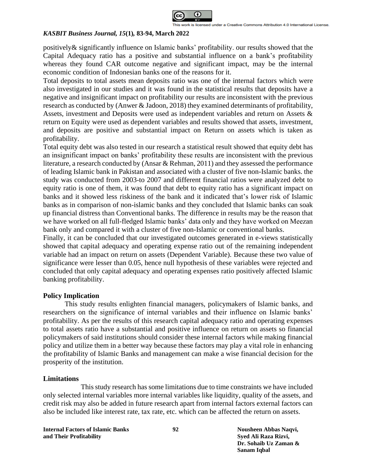

positively& significantly influence on Islamic banks' profitability. our results showed that the Capital Adequacy ratio has a positive and substantial influence on a bank's profitability whereas they found CAR outcome negative and significant impact, may be the internal economic condition of Indonesian banks one of the reasons for it.

Total deposits to total assets mean deposits ratio was one of the internal factors which were also investigated in our studies and it was found in the statistical results that deposits have a negative and insignificant impact on profitability our results are inconsistent with the previous research as conducted by (Anwer & Jadoon, 2018) they examined determinants of profitability, Assets, investment and Deposits were used as independent variables and return on Assets & return on Equity were used as dependent variables and results showed that assets, investment, and deposits are positive and substantial impact on Return on assets which is taken as profitability.

Total equity debt was also tested in our research a statistical result showed that equity debt has an insignificant impact on banks' profitability these results are inconsistent with the previous literature, a research conducted by (Ansar & Rehman, 2011) and they assessed the performance of leading Islamic bank in Pakistan and associated with a cluster of five non-Islamic banks. the study was conducted from 2003-to 2007 and different financial ratios were analyzed debt to equity ratio is one of them, it was found that debt to equity ratio has a significant impact on banks and it showed less riskiness of the bank and it indicated that's lower risk of Islamic banks as in comparison of non-islamic banks and they concluded that Islamic banks can soak up financial distress than Conventional banks. The difference in results may be the reason that we have worked on all full-fledged Islamic banks' data only and they have worked on Meezan bank only and compared it with a cluster of five non-Islamic or conventional banks.

Finally, it can be concluded that our investigated outcomes generated in e-views statistically showed that capital adequacy and operating expense ratio out of the remaining independent variable had an impact on return on assets (Dependent Variable). Because these two value of significance were lesser than 0.05, hence null hypothesis of these variables were rejected and concluded that only capital adequacy and operating expenses ratio positively affected Islamic banking profitability.

#### **Policy Implication**

This study results enlighten financial managers, policymakers of Islamic banks, and researchers on the significance of internal variables and their influence on Islamic banks' profitability. As per the results of this research capital adequacy ratio and operating expenses to total assets ratio have a substantial and positive influence on return on assets so financial policymakers of said institutions should consider these internal factors while making financial policy and utilize them in a better way because these factors may play a vital role in enhancing the profitability of Islamic Banks and management can make a wise financial decision for the prosperity of the institution.

#### **Limitations**

This study research has some limitations due to time constraints we have included only selected internal variables more internal variables like liquidity, quality of the assets, and credit risk may also be added in future research apart from internal factors external factors can also be included like interest rate, tax rate, etc. which can be affected the return on assets.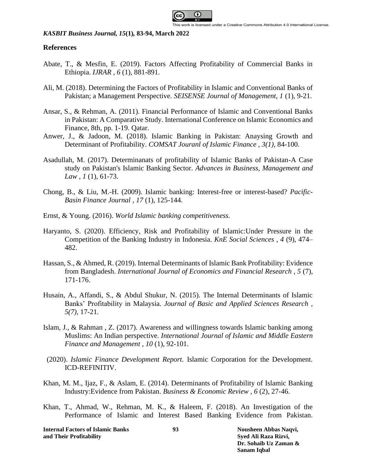

# **References**

- Abate, T., & Mesfin, E. (2019). Factors Affecting Profitability of Commercial Banks in Ethiopia. *IJRAR , 6* (1), 881-891.
- Ali, M. (2018). Determining the Factors of Profitability in Islamic and Conventional Banks of Pakistan; a Management Perspective. *SEISENSE Journal of Management, 1* (1), 9-21.
- Ansar, S., & Rehman, A. (2011). Financial Performance of Islamic and Conventional Banks in Pakistan: A Comparative Study. International Conference on Islamic Economics and Finance, 8th, pp. 1-19. Qatar.
- Anwer, J., & Jadoon, M. (2018). Islamic Banking in Pakistan: Anaysing Growth and Determinant of Profitability. *COMSAT Jouranl of Islamic Finance , 3(1)*, 84-100.
- Asadullah, M. (2017). Determinanats of profitability of Islamic Banks of Pakistan-A Case study on Pakistan's Islamic Banking Sector. *Advances in Business, Management and Law , 1* (1), 61-73.
- Chong, B., & Liu, M.-H. (2009). Islamic banking: Interest-free or interest-based? *Pacific-Basin Finance Journal , 17* (1), 125-144.
- Ernst, & Young. (2016). *World Islamic banking competitiveness.*
- Haryanto, S. (2020). Efficiency, Risk and Profitability of Islamic:Under Pressure in the Competition of the Banking Industry in Indonesia. *KnE Social Sciences , 4* (9), 474– 482.
- Hassan, S., & Ahmed, R. (2019). Internal Determinants of Islamic Bank Profitability: Evidence from Bangladesh. *International Journal of Economics and Financial Research , 5* (7), 171-176.
- Husain, A., Affandi, S., & Abdul Shukur, N. (2015). The Internal Determinants of Islamic Banks' Profitability in Malaysia. *Journal of Basic and Applied Sciences Research , 5(7)*, 17-21.
- Islam, J., & Rahman , Z. (2017). Awareness and willingness towards Islamic banking among Muslims: An Indian perspective. *International Journal of Islamic and Middle Eastern Finance and Management , 10* (1), 92-101.
- (2020). *Islamic Finance Development Report.* Islamic Corporation for the Development. ICD-REFINITIV.
- Khan, M. M., Ijaz, F., & Aslam, E. (2014). Determinants of Profitability of Islamic Banking Industry:Evidence from Pakistan. *Business & Economic Review , 6* (2), 27-46.
- Khan, T., Ahmad, W., Rehman, M. K., & Haleem, F. (2018). An Investigation of the Performance of Islamic and Interest Based Banking Evidence from Pakistan.

**Internal Factors of Islamic Banks 93 Nousheen Abbas Naqvi, and Their Profitability Syed Ali Raza Rizvi,**